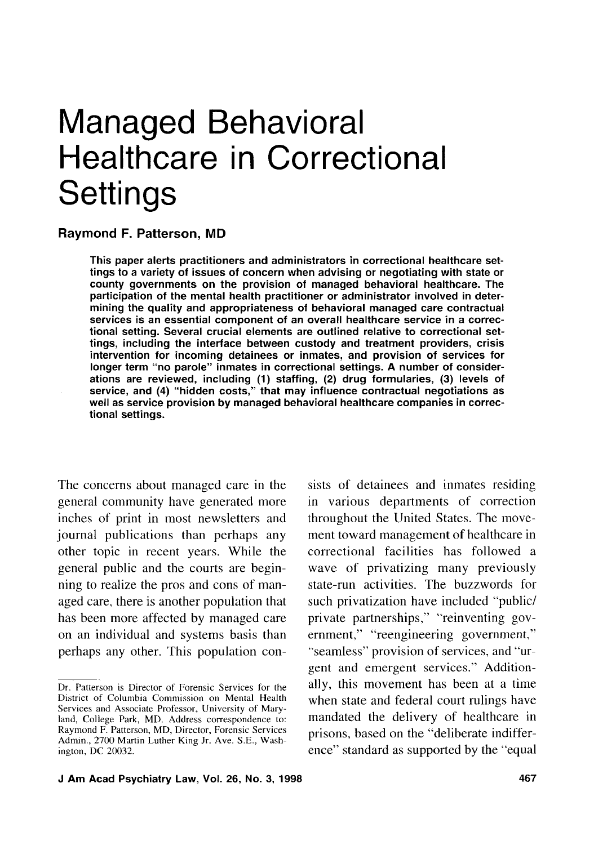# Managed Behavioral Healthcare in Correctional **Settings**

#### **Raymond F. Patterson, MD**

This paper alerts practitioners and administrators in correctional healthcare settings to a variety of issues of concern when advising or negotiating with state or county governments on the provision of managed behavioral healthcare. The participation of the mental health practitioner or administrator involved in determining the quality and appropriateness of behavioral managed care contractual services is an essential component of an overall healthcare service in a correctional setting. Several crucial elements are outlined relative to correctional settings, including the interface between custody and treatment providers, crisis intervention for incoming detainees or inmates, and provision of services for longer term "no parole" inmates in correctional settings. A number of considerations are reviewed, including **(1)** staffing, (2) drug formularies, (3) levels of service, and **(4)** "hidden costs," that may influence contractual negotiations as well as service provision by managed behavioral healthcare companies in correctional settings.

The concerns about managed care in the general community have generated more inches of print in most newsletters and journal publications than perhaps any other topic in recent years. While the general public and the courts are beginning to realize the pros and cons of managed care, there is another population that has been more affected by managed care on an individual and systems basis than perhaps any other. This population consists of detainees and inmates residing in various departments of correction throughout the United States. The movement toward management of healthcare in correctional facilities has followed a wave of privatizing many previously state-run activities. The buzzwords for such privatization have included "public/ private partnerships," "reinventing government," "reengineering government." "seamless" provision of services, and "urgent and emergent services." Additionally, this movement has been at a time when state and federal court rulings have mandated the delivery of healthcare in prisons, based on the "deliberate indifference" standard as supported by the "equal

<sup>-.</sup>  Dr. Patterson is Director of Forensic Services for the District of Columbia Commission on Mental Health Services and Associate Professor, University of Maryland, College Park, MD. Address correspondence to: Raymond F. Patterson, MD, Director, Forensic Services Admin., 2700 Martin Luther King Jr. Ave. S.E., Washington, DC 20032.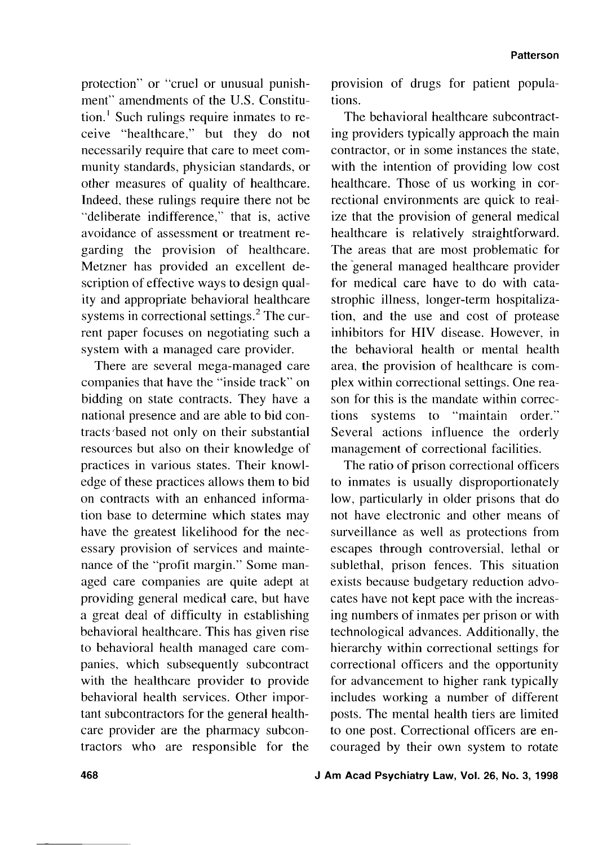protection" or "cruel or unusual punishment" amendments of the U.S. Constitution.' Such rulings require inmates to receive "healthcare," but they do not necessarily require that care to meet community standards, physician standards, or other measures of quality of healthcare. Indeed. these rulings require there not be "deliberate indifference," that is, active avoidance of assessment or treatment regarding the provision of healthcare. Metzner has provided an excellent description of effective ways to design quality and appropriate behavioral healthcare systems in correctional settings.<sup>2</sup> The current paper focuses on negotiating such a system with a managed care provider.

There are several mega-managed care companies that have the "inside track" on bidding on state contracts. They have a national presence and are able to bid contracts based not only on their substantial resources but also on their knowledge of practices in various states. Their knowledge of these practices allows them to bid on contracts with an enhanced information base to determine which states may have the greatest likelihood for the necessary provision of services and maintenance of the "profit margin." Some managed care companies are quite adept at providing general medical care, but have a great deal of difficulty in establishing behavioral healthcare. This has given rise to behavioral health managed care companies, which subsequently subcontract with the healthcare provider to provide behavioral health services. Other important subcontractors for the general healthcare provider are the pharmacy subcontractors who are responsible for the

provision of drugs for patient populations.

The behavioral healthcare subcontracting providers typically approach the main contractor, or in some instances the state, with the intention of providing low cost healthcare. Those of us working in correctional environments are quick to realize that the provision of general medical healthcare is relatively straightforward. The areas that are most problematic for the 'general managed healthcare provider for medical care have to do with catastrophic illness, longer-term hospitalization, and the use and cost of protease inhibitors for HIV disease. However. in the behavioral health or mental health area, the provision of healthcare is complex within correctional settings. One reason for this is the mandate within corrections systems to "maintain order." Several actions influence the orderly management of correctional facilities.

The ratio of prison correctional officers to inmates is usually disproportionately low, particularly in older prisons that do not have electronic and other means of surveillance as well as protections from escapes through controversial, lethal or sublethal, prison fences. This situation exists because budgetary reduction advocates have not kept pace with the increasing numbers of inmates per prison or with technological advances. Additionally, the hierarchy within correctional settings for correctional officers and the opportunity for advancement to higher rank typically includes working a number of different posts. The mental health tiers are limited to one post. Correctional officers are encouraged by their own system to rotate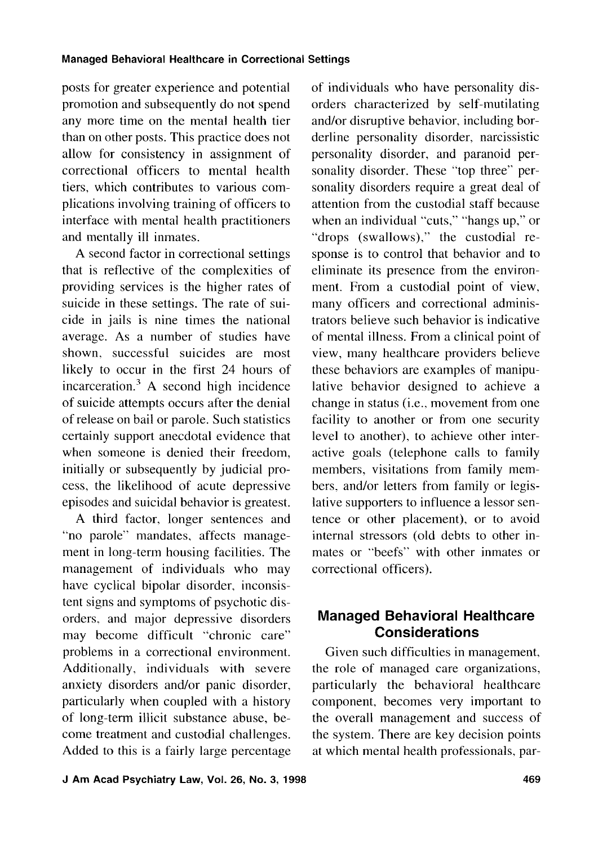posts for greater experience and potential promotion and subsequently do not spend any more time on the mental health tier than on other posts. This practice does not allow for consistency in assignment of correctional officers to mental health tiers, which contributes to various complications involving training of officers to interface with mental health practitioners and mentally ill inmates.

A second factor in correctional settings that is reflective of the complexities of providing services is the higher rates of suicide in these settings. The rate of suicide in jails is nine times the national average. As a number of studies have shown, successful suicides are most likely to occur in the first 24 hours of incarceration. $3$  A second high incidence of suicide attempts occurs after the denial of release on bail or parole. Such statistics certainly support anecdotal evidence that when someone is denied their freedom, initially or subsequently by judicial process, the likelihood of acute depressive episodes and suicidal behavior is greatest.

A third factor, longer sentences and "no parole" mandates, affects management in long-term housing facilities. The management of individuals who may have cyclical bipolar disorder, inconsistent signs and symptoms of psychotic disorders. and major depressive disorders may become difficult "chronic care" problems in a correctional environment. Additionally, individuals with severe anxiety disorders and/or panic disorder, particularly when coupled with a history of long-term illicit substance abuse, become treatment and custodial challenges. Added to this is a fairly large percentage of individuals who have personality disorders characterized by self-mutilating and/or disruptive behavior, including borderline personality disorder. narcissistic personality disorder, and paranoid personality disorder. These "top three" personality disorders require a great deal of attention from the custodial staff because when an individual "cuts," "hangs up," or "drops (swallows)," the custodial response is to control that behavior and to eliminate its presence from the environment. From a custodial point of view, many officers and correctional administrators believe such behavior is indicative of mental illness. From a clinical point of view, many healthcare providers believe these behaviors are examples of manipulative behavior designed to achieve a change in status (i.e., movement from one facility to another or from one security level to another), to achieve other interactive goals (telephone calls to family members, visitations from family members. and/or letters from family or legislative supporters to influence a lessor sentence or other placement), or to avoid internal stressors (old debts to other inmates or "beefs" with other inmates or correctional officers).

## **Managed Behavioral Healthcare Considerations**

Given such difficulties in management, the role of managed care organizations, particularly the behavioral healthcare component, becomes very important to the overall management and success of the system. There are key decision points at which mental health professionals, par-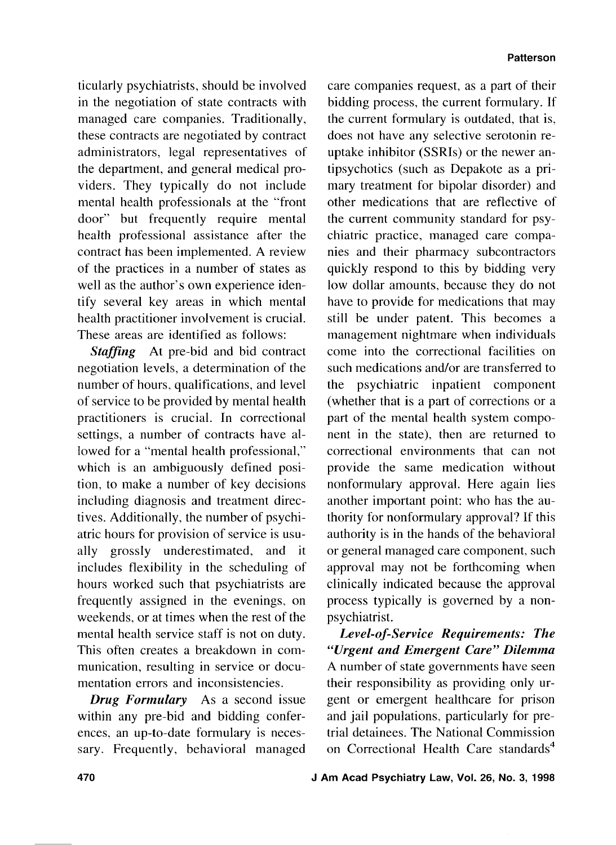ticularly psychiatrists, should be involved in the negotiation of state contracts with managed care companies. Traditionally, these contracts are negotiated by contract administrators, legal representatives of the department, and general medical providers. They typically do not include mental health professionals at the "front door" but frequently require mental health professional assistance after the contract has been implemented. A review of the practices in a number of states as well as the author's own experience identify several key areas in which mental health practitioner involvement is crucial. These areas are identified as follows:

*Staffing* At pre-bid and bid contract negotiation levels, a determination of the number of hours, qualifications, and level of service to be provided by mental health practitioners is crucial. In correctional settings, a number of contracts have allowed for a "mental health professional," which is an ambiguously defined position, to make a number of key decisions including diagnosis and treatment directives. Additionally, the number of psychiatric hours for provision of service is usually grossly underestimated, and it includes flexibility in the scheduling of hours worked such that psychiatrists are frequently assigned in the evenings, on weekends, or at times when the rest of the mental health service staff is not on duty. This often creates a breakdown in communication, resulting in service or documentation errors and inconsistencies.

*Drug Formulary* As a second issue within any pre-bid and bidding conferences, an up-to-date formulary is necessary. Frequently, behavioral managed

care companies request, as a part of their bidding process, the current formulary. If the current formulary is outdated, that is, does not have any selective serotonin reuptake inhibitor (SSRIs) or the newer antipsychotics (such as Depakote as a primary treatment for bipolar disorder) and other medications that are reflective of the current community standard for psychiatric practice, managed care companies and their pharmacy subcontractors quickly respond to this by bidding very low dollar amounts, because they do not have to provide for medications that may still be under patent. This becomes a management nightmare when individuals come into the correctional facilities on such medications and/or are transferred to the psychiatric inpatient component (whether that is a part of corrections or a part of the mental health system component in the state), then are returned to correctional environments that can not provide the same medication without nonfonnulary approval. Here again lies another important point: who has the authority for nonformulary approval? If this authority is in the hands of the behavioral or general managed care component, such approval may not be forthcoming when clinically indicated because the approval process typically is governed by a nonpsychiatrist.

*Level-of-Service Requirements: The "Urgent and Emergent Care" Dilemma*  A number of state governments have seen their responsibility as providing only urgent or emergent healthcare for prison and jail populations, particularly for pretrial detainees. The National Commission on Correctional Health Care standards<sup>4</sup>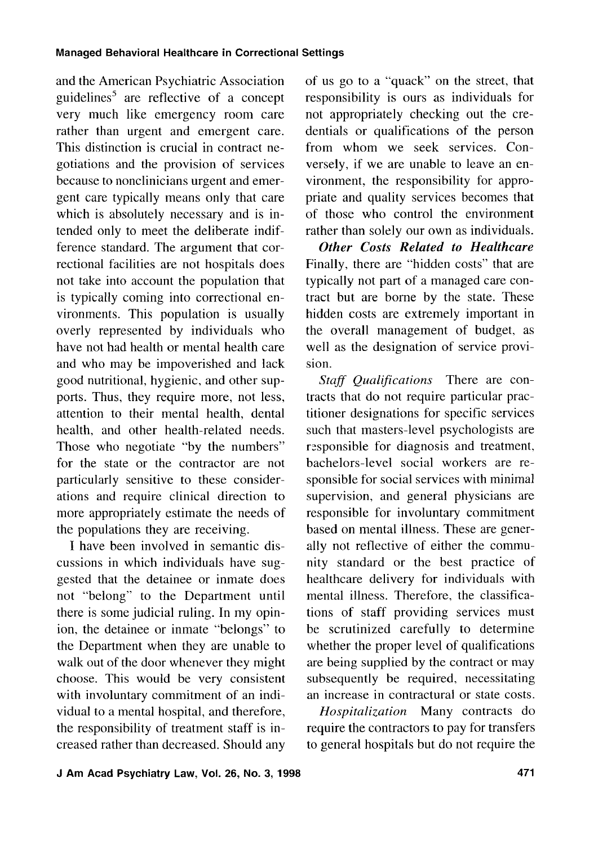and the American Psychiatric Association guidelines<sup>5</sup> are reflective of a concept very much like emergency room care rather than urgent and emergent care. This distinction is crucial in contract negotiations and the provision of services because to nonclinicians urgent and emergent care typically means only that care which is absolutely necessary and is intended only to meet the deliberate indifference standard. The argument that correctional facilities are not hospitals does not take into account the population that is typically coming into correctional environments. This population is usually overly represented by individuals who have not had health or mental health care and who may be impoverished and lack good nutritional, hygienic, and other supports. Thus, they require more, not less, attention to their mental health, dental health, and other health-related needs. Those who negotiate "by the numbers" for the state or the contractor are not particularly sensitive to these considerations and require clinical direction to more appropriately estimate the needs of the populations they are receiving.

I have been involved in semantic discussions in which individuals have suggested that the detainee or inmate does not "belong" to the Department until there is some judicial ruling. In my opinion, the detainee or inmate "belongs" to the Department when they are unable to walk out of the door whenever they might choose. This would be very consistent with involuntary commitment of an individual to a mental hospital, and therefore, the responsibility of treatment staff is increased rather than decreased. Should any

typically not part of a managed care contract but are borne by the state. These hidden costs are extremely important in the overall management of budget, as well as the designation of service provision. *Staff Qualifications* There are con-

tracts that do not require particular practitioner designations for specific services such that masters-level psychologists are responsible for diagnosis and treatment, bachelors-level social workers are responsible for social services with minimal supervision, and general physicians are responsible for involuntary commitment based on mental illness. These are generally not reflective of either the community standard or the best practice of healthcare delivery for individuals with mental illness. Therefore, the classifications of staff providing services must be scrutinized carefully to determine whether the proper level of qualifications are being supplied by the contract or may subsequently be required, necessitating an increase in contractural or state costs.

of us go to a "quack" on the street, that responsibility is ours as individuals for not appropriately checking out the credentials or qualifications of the person from whom we seek services. Conversely, if we are unable to leave an environment, the responsibility for appropriate and quality services becomes that of those who control the environment rather than solely our own as individuals. *Other Costs Related to Healthcare*  Finally, there are "hidden costs" that are

*Hospitalization* Many contracts do require the contractors to pay for transfers to general hospitals but do not require the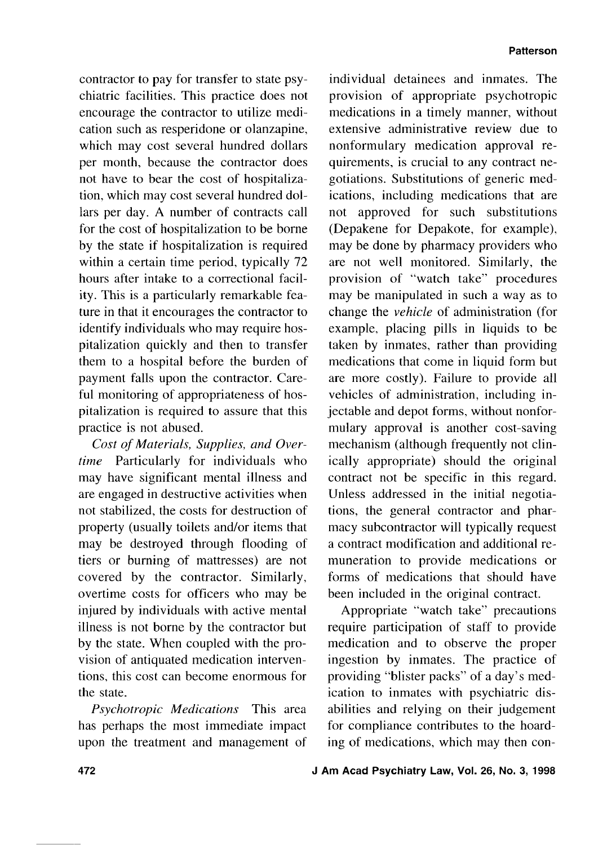contractor to pay for transfer to state psychiatric facilities. This practice does not encourage the contractor to utilize medication such as resperidone or olanzapine, which may cost several hundred dollars per month, because the contractor does not have to bear the cost of hospitalization, which may cost several hundred dollars per day. A number of contracts call for the cost of hospitalization to be borne by the state if hospitalization is required within a certain time period, typically 72 hours after intake to a correctional facility. This is a particularly remarkable feature in that it encourages the contractor to identify individuals who may require hospitalization quickly and then to transfer them to a hospital before the burden of payment falls upon the contractor. Careful monitoring of appropriateness of hospitalization is required to assure that this practice is not abused.

*Cost* of *Materials, Supplies, and Overtime* Particularly for individuals who may have significant mental illness and are engaged in destructive activities when not stabilized, the costs for destruction of property (usually toilets and/or items that may be destroyed through flooding of tiers or burning of mattresses) are not covered by the contractor. Similarly, overtime costs for officers who may be injured by individuals with active mental illness is not borne by the contractor but by the state. When coupled with the provision of antiquated medication interventions, this cost can become enormous for the state.

*Psychotropic Medications* This area has perhaps the most immediate impact upon the treatment and management of

individual detainees and inmates. The provision of appropriate psychotropic medications in a timely manner, without extensive administrative review due to nonformulary medication approval requirements, is crucial to any contract negotiations. Substitutions of generic medications, including medications that are not approved for such substitutions (Depakene for Depakote, for example), may be done by pharmacy providers who are not well monitored. Similarly, the provision of "watch take" procedures may be manipulated in such a way as to change the *vehicle* of administration (for example, placing pills in liquids to be taken by inmates, rather than providing medications that come in liquid form but are more costly). Failure to provide all vehicles of administration, including injectable and depot forms, without nonformulary approval is another cost-saving mechanism (although frequently not clinically appropriate) should the original contract not be specific in this regard. Unless addressed in the initial negotiations, the general contractor and pharmacy subcontractor will typically request a contract modification and additional remuneration to provide medications or forms of medications that should have been included in the original contract.

Appropriate "watch take" precautions require participation of staff to provide medication and to observe the proper ingestion by inmates. The practice of providing "blister packs" of a day's medication to inmates with psychiatric disabilities and relying on their judgement for compliance contributes to the hoarding of medications, which may then con-